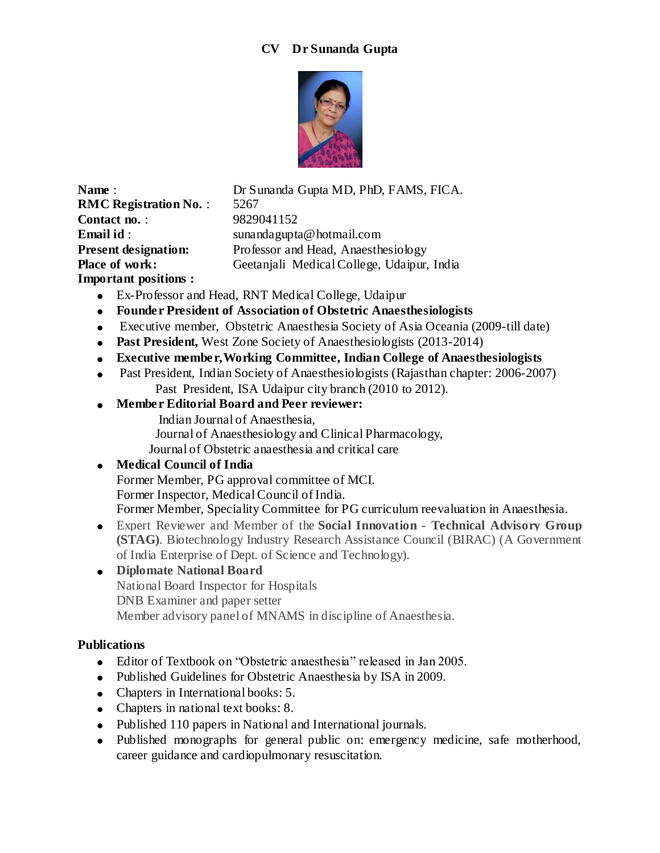### **CV Dr Sunanda Gupta**



**RMC Registration No. : 5267 Contact no.** : 9829041152 **Important positions :** 

**Name** : Dr Sunanda Gupta MD, PhD, FAMS, FICA. **Email id** : sunandagupta@hotmail.com **Present designation:** Professor and Head, Anaesthesiology Place of work: Geetanjali Medical College, Udaipur, India

- Ex-Professor and Head, RNT Medical College, Udaipur
- **Founder President of Association of Obstetric Anaesthesiologists**
- Executive member, Obstetric Anaesthesia Society of Asia Oceania (2009-till date)
- Past President, West Zone Society of Anaesthesiologists (2013-2014)
- **Executive member,Working Committee, Indian College of Anaesthesiologists**
- Past President, Indian Society of Anaesthesiologists (Rajasthan chapter: 2006-2007) Past President, ISA Udaipur city branch (2010 to 2012).
- **Member Editorial Board and Peer reviewer:** 
	- Indian Journal of Anaesthesia,
	- Journal of Anaesthesiology and Clinical Pharmacology,
	- Journal of Obstetric anaesthesia and critical care

## **Medical Council of India**

Former Member, PG approval committee of MCI. Former Inspector, Medical Council of India. Former Member, Speciality Committee for PG curriculum reevaluation in Anaesthesia.

Expert Reviewer and Member of the **Social Innovation - Technical Advisory Group (STAG)**. Biotechnology Industry Research Assistance Council (BIRAC) (A Government of India Enterprise of Dept. of Science and Technology).

# **Diplomate National Board**

National Board Inspector for Hospitals

DNB Examiner and paper setter

Member advisory panel of MNAMS in discipline of Anaesthesia.

## **Publications**

- Editor of Textbook on "Obstetric anaesthesia" released in Jan 2005.
- Published Guidelines for Obstetric Anaesthesia by ISA in 2009.
- Chapters in International books: 5.
- Chapters in national text books: 8.
- Published 110 papers in National and International journals.
- Published monographs for general public on: emergency medicine, safe motherhood, career guidance and cardiopulmonary resuscitation.